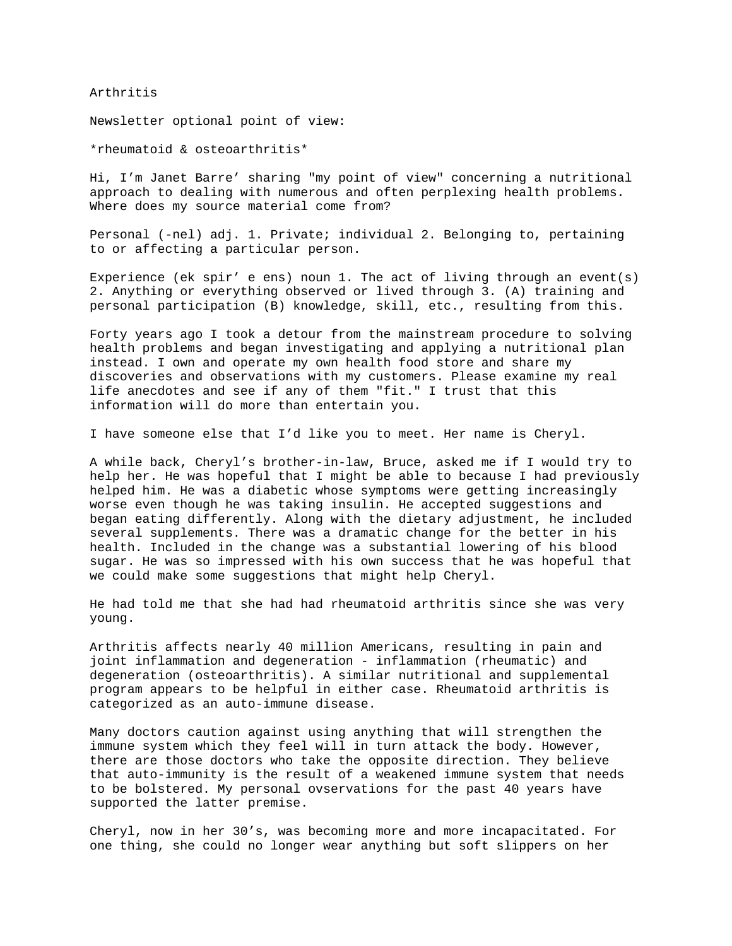Arthritis

Newsletter optional point of view:

\*rheumatoid & osteoarthritis\*

Hi, I'm Janet Barre' sharing "my point of view" concerning a nutritional approach to dealing with numerous and often perplexing health problems. Where does my source material come from?

Personal (-nel) adj. 1. Private; individual 2. Belonging to, pertaining to or affecting a particular person.

Experience (ek spir' e ens) noun 1. The act of living through an event(s) 2. Anything or everything observed or lived through 3. (A) training and personal participation (B) knowledge, skill, etc., resulting from this.

Forty years ago I took a detour from the mainstream procedure to solving health problems and began investigating and applying a nutritional plan instead. I own and operate my own health food store and share my discoveries and observations with my customers. Please examine my real life anecdotes and see if any of them "fit." I trust that this information will do more than entertain you.

I have someone else that I'd like you to meet. Her name is Cheryl.

A while back, Cheryl's brother-in-law, Bruce, asked me if I would try to help her. He was hopeful that I might be able to because I had previously helped him. He was a diabetic whose symptoms were getting increasingly worse even though he was taking insulin. He accepted suggestions and began eating differently. Along with the dietary adjustment, he included several supplements. There was a dramatic change for the better in his health. Included in the change was a substantial lowering of his blood sugar. He was so impressed with his own success that he was hopeful that we could make some suggestions that might help Cheryl.

He had told me that she had had rheumatoid arthritis since she was very young.

Arthritis affects nearly 40 million Americans, resulting in pain and joint inflammation and degeneration - inflammation (rheumatic) and degeneration (osteoarthritis). A similar nutritional and supplemental program appears to be helpful in either case. Rheumatoid arthritis is categorized as an auto-immune disease.

Many doctors caution against using anything that will strengthen the immune system which they feel will in turn attack the body. However, there are those doctors who take the opposite direction. They believe that auto-immunity is the result of a weakened immune system that needs to be bolstered. My personal ovservations for the past 40 years have supported the latter premise.

Cheryl, now in her 30's, was becoming more and more incapacitated. For one thing, she could no longer wear anything but soft slippers on her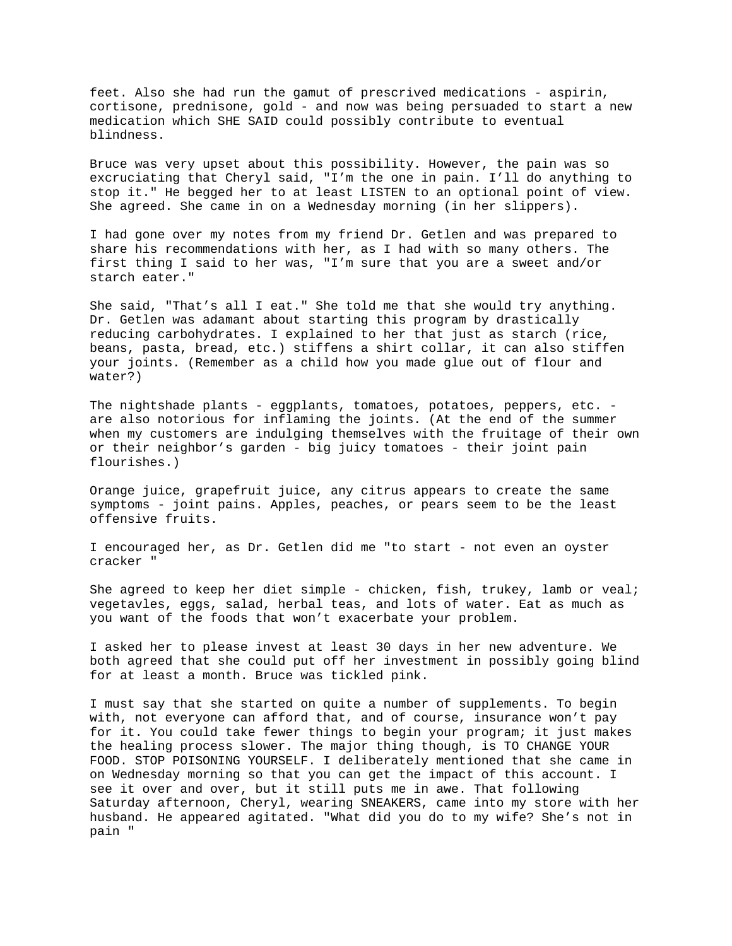feet. Also she had run the gamut of prescrived medications - aspirin, cortisone, prednisone, gold - and now was being persuaded to start a new medication which SHE SAID could possibly contribute to eventual blindness.

Bruce was very upset about this possibility. However, the pain was so excruciating that Cheryl said, "I'm the one in pain. I'll do anything to stop it." He begged her to at least LISTEN to an optional point of view. She agreed. She came in on a Wednesday morning (in her slippers).

I had gone over my notes from my friend Dr. Getlen and was prepared to share his recommendations with her, as I had with so many others. The first thing I said to her was, "I'm sure that you are a sweet and/or starch eater."

She said, "That's all I eat." She told me that she would try anything. Dr. Getlen was adamant about starting this program by drastically reducing carbohydrates. I explained to her that just as starch (rice, beans, pasta, bread, etc.) stiffens a shirt collar, it can also stiffen your joints. (Remember as a child how you made glue out of flour and water?)

The nightshade plants - eggplants, tomatoes, potatoes, peppers, etc. are also notorious for inflaming the joints. (At the end of the summer when my customers are indulging themselves with the fruitage of their own or their neighbor's garden - big juicy tomatoes - their joint pain flourishes.)

Orange juice, grapefruit juice, any citrus appears to create the same symptoms - joint pains. Apples, peaches, or pears seem to be the least offensive fruits.

I encouraged her, as Dr. Getlen did me "to start - not even an oyster cracker "

She agreed to keep her diet simple - chicken, fish, trukey, lamb or veal; vegetavles, eggs, salad, herbal teas, and lots of water. Eat as much as you want of the foods that won't exacerbate your problem.

I asked her to please invest at least 30 days in her new adventure. We both agreed that she could put off her investment in possibly going blind for at least a month. Bruce was tickled pink.

I must say that she started on quite a number of supplements. To begin with, not everyone can afford that, and of course, insurance won't pay for it. You could take fewer things to begin your program; it just makes the healing process slower. The major thing though, is TO CHANGE YOUR FOOD. STOP POISONING YOURSELF. I deliberately mentioned that she came in on Wednesday morning so that you can get the impact of this account. I see it over and over, but it still puts me in awe. That following Saturday afternoon, Cheryl, wearing SNEAKERS, came into my store with her husband. He appeared agitated. "What did you do to my wife? She's not in pain "